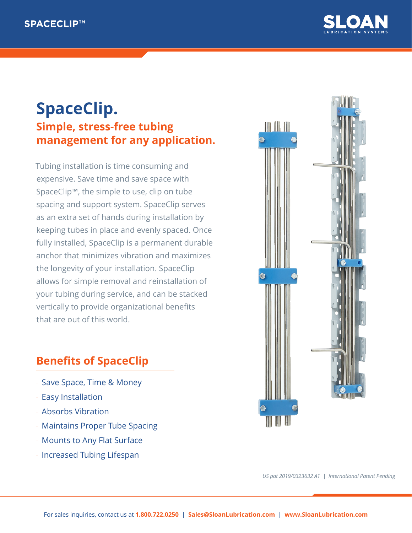

## **SpaceClip. Simple, stress-free tubing management for any application.**

Tubing installation is time consuming and expensive. Save time and save space with SpaceClip™, the simple to use, clip on tube spacing and support system. SpaceClip serves as an extra set of hands during installation by keeping tubes in place and evenly spaced. Once fully installed, SpaceClip is a permanent durable anchor that minimizes vibration and maximizes the longevity of your installation. SpaceClip allows for simple removal and reinstallation of your tubing during service, and can be stacked vertically to provide organizational benefits that are out of this world.

## **Benefits of SpaceClip**

- Save Space, Time & Money
- Easy Installation
- Absorbs Vibration
- Maintains Proper Tube Spacing
- Mounts to Any Flat Surface
- Increased Tubing Lifespan



*US pat 2019/0323632 A1 | International Patent Pending*